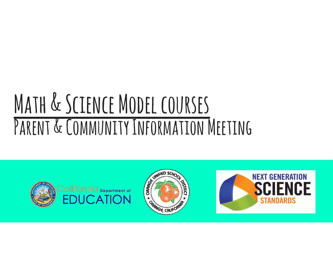### MATH & SCIENCE MODEL COURSES PARENT & COMMUNITY INFORMATION MEETING





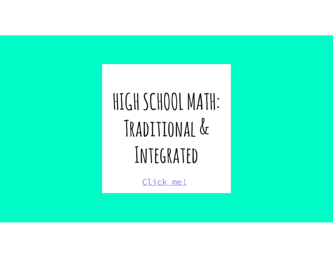### HIGH SCHOOL MATH: Traditional & Integrated

Click me!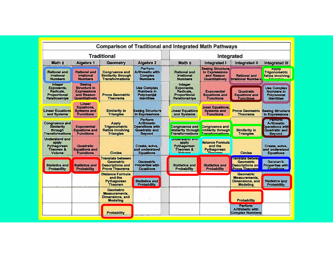| <b>Comparison of Traditional and Integrated Math Pathways</b><br><b>Traditional</b>      |                                                                                            |                                                                                                  |                                                                                          | Integrated                                                                                |                                                                                  |                                                                                         |                                                                                                 |
|------------------------------------------------------------------------------------------|--------------------------------------------------------------------------------------------|--------------------------------------------------------------------------------------------------|------------------------------------------------------------------------------------------|-------------------------------------------------------------------------------------------|----------------------------------------------------------------------------------|-----------------------------------------------------------------------------------------|-------------------------------------------------------------------------------------------------|
| Math 8                                                                                   | Algebra 1                                                                                  | Geometry                                                                                         | Algebra 2                                                                                | Math 8                                                                                    | Integrated I                                                                     | <b>Integrated II</b>                                                                    | <b>Integrated III</b>                                                                           |
| <b>Rational and</b><br>Irrational<br><b>Numbers</b>                                      | <b>Rational and</b><br><b>Irrational</b><br><b>Numbers</b>                                 | <b>Congruence and</b><br><b>Similarity through</b><br><b>Transformations</b>                     | Perform<br><b>Arithmetic with</b><br><b>Complex</b><br><b>Numbers</b>                    | <b>Rational and</b><br><b>Irrational</b><br><b>Numbers</b>                                | <b>Seeing Structure</b><br>In Expressions<br>and Reason<br><b>Quantitatively</b> | <b>Rational and</b><br><b>Irrational Numbers</b>                                        | <b>Apply</b><br><b>Trigonometric</b><br>tatios involving                                        |
| <b>Integer</b><br><b>Exponents.</b><br>Radicals.<br>Proportional<br><b>Relationships</b> | <b>Seeing</b><br><b>Structure in</b><br><b>Expressions</b><br>and Reason<br>Quantitatively | <b>Prove Geometric</b><br><b>Theorems</b>                                                        | <b>Use Complex</b><br><b>Numbers</b> In<br>Polynomial<br><b>Identities</b>               | Integer<br>Exponents,<br>Radicals.<br><b>Proportional</b><br><b>Relationships</b>         | <b>Exponential</b><br><b>Equations and</b><br><b>Functions</b>                   | Quadratic<br><b>Equations and</b><br><b>Functions</b>                                   | <b>Use Complex</b><br><b>Numbers</b> in<br>Polynomial<br><b>Identities</b>                      |
| <b>Linear Equations</b><br>and Systems                                                   | Linear<br>Equations,<br><b>Systems and</b><br><b>Functions</b>                             | <b>Similarity in</b><br><b>Triangles</b>                                                         | <b>Seeing Structure</b><br><b>In Expressions</b>                                         | <b>Linear Equations</b><br>and Systems                                                    | .inear Equations.<br><b>Systems and</b><br><b>Functions</b>                      | <b>Prove Geometric</b><br><b>Theorems</b>                                               | <b>Seeing Structure</b><br>In Expressions                                                       |
| <b>Congruence and</b><br><b>Similarity</b><br>through<br><b>Transformations</b>          | <b>Exponential</b><br><b>Equations and</b><br><b>Functions</b>                             | <b>Apply</b><br><b>Trigonometric</b><br>Ratios involving<br><b>Triangles</b>                     | Perform<br><b>Arithmetic</b><br><b>Operations with</b><br>Quadratic and<br><b>Beyond</b> | <b>Congruence and</b><br><b>Similarity through</b><br><b>Transformations</b>              | <b>Congruence and</b><br>imilarity through<br><b>Transformations</b>             | <b>Similarity in</b><br><b>Triangles</b>                                                | <b>Perform</b><br><b>Arithmetic</b><br><b>Dperations with</b><br>Quadratic and<br><b>Beyond</b> |
| <b>Understand and</b><br>apply<br>Pythagorean<br>Theorem &<br>Volume                     | Quadratic<br><b>Equations and</b><br><b>Functions</b>                                      | <b>Circles</b>                                                                                   | Create, solve.<br>and understand<br><b>Equations</b>                                     | <b>Understand and</b><br>apply<br>Pythagorean<br>Theorem &<br><b><i><u>Volume</u></i></b> | <b>Vistance Formula</b><br>and the<br>Pythagorean<br>Thannon                     | <b>Circles</b>                                                                          | Create, solve.<br>and understand<br><b>Equations</b>                                            |
| <b>Statistics and</b><br>Probability                                                     | <b>Statistics and</b><br><b>Probability</b>                                                | <b>Translate between</b><br><b>Geometric</b><br><b>Descriptions and</b><br><b>Prove Theorems</b> | <b>Geometric</b><br><b>Properties with</b><br>Equations                                  | <b>Statistics and</b><br>Probability                                                      | <b>Statistics and</b><br><b>Probability</b>                                      | ranslate betwee<br><b>Geometric</b><br><b>Descriptions and</b><br><b>Prove Theorems</b> | Geometric<br><b>Properties with</b><br>Faustione                                                |
|                                                                                          |                                                                                            | <b>Distance Formula</b><br>and the<br>Pythagorean<br>Theorem                                     | <b>Statistics and</b><br><b>Probability</b>                                              |                                                                                           |                                                                                  | <b>Geometric</b><br>Measurements.<br><b>Dimensions, and</b><br>Modeling                 | <b>Statistics and</b><br><b>Probability</b>                                                     |
|                                                                                          |                                                                                            | Geometric<br><b>Measurements,</b><br><b>Dimensions, and</b><br><b>Modeling</b>                   |                                                                                          |                                                                                           |                                                                                  | <b>Probability</b>                                                                      |                                                                                                 |
|                                                                                          |                                                                                            | <b>Probability</b>                                                                               |                                                                                          |                                                                                           |                                                                                  | Perform<br><b>Arithmetic with</b><br><b>Complex Numbers</b>                             |                                                                                                 |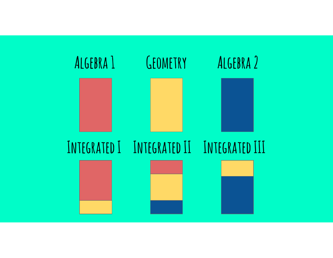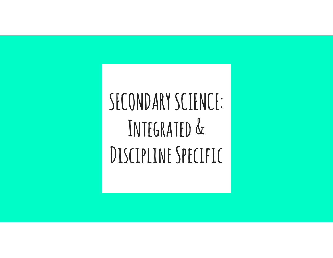### SECONDARY SCIENCE: Integrated & DISCIPLINE SPECIFIC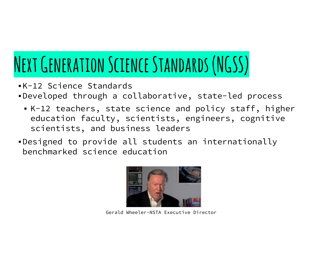### Next Generation Science Standards (NGSS)

- ▪K-12 Science Standards
- ▪Developed through a collaborative, state-led process
	- K-12 teachers, state science and policy staff, higher education faculty, scientists, engineers, cognitive scientists, and business leaders
- ▪Designed to provide all students an internationally benchmarked science education



Gerald Wheeler-NSTA Executive Director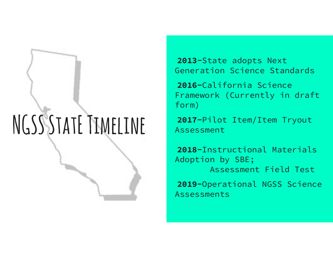## NGSSSTATE TIMELINE

2013-State adopts Next Generation Science Standards

2016-California Science Framework (Currently in draft form)

2017-Pilot Item/Item Tryout Assessment

2018-Instructional Materials Adoption by SBE; Assessment Field Test

2019-Operational NGSS Science Assessments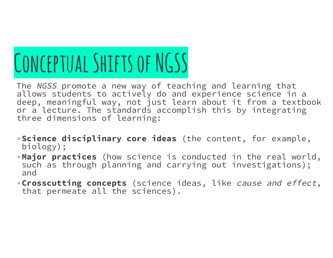# CONCEPTUAL SHIFTS OF NGSS

The NGSS promote a new way of teaching and learning that allows students to actively do and experience science in a deep, meaningful way, not just learn about it from a textbook or a lecture. The standards accomplish this by integrating three dimensions of learning:

- ◦Science disciplinary core ideas (the content, for example, biology);
- ◦Major practices (how science is conducted in the real world, such as through planning and carrying out investigations); and
- ◦Crosscutting concepts (science ideas, like cause and effect, that permeate all the sciences).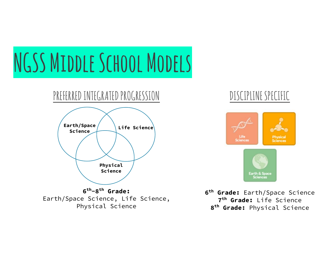# NGSS MIDDLE SCHOOL MODELS



6th-8th Grade: Earth/Space Science, Life Science, Physical Science



6<sup>th</sup> Grade: Earth/Space Science 7<sup>th</sup> Grade: Life Science 8th Grade: Physical Science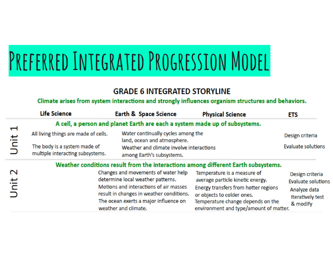### PREFERRED INTEGRATED PROGRESSION MODEL

### **GRADE 6 INTEGRATED STORYLINE**

#### Climate arises from system interactions and strongly influences organism structures and behaviors.

|                                                          | <b>Life Science</b>                                                               | Earth & Space Science                                                                                                                                                                                                           | <b>Physical Science</b>                                                                                                                                                                                              | <b>ETS</b>                                                                                          |  |  |  |  |  |
|----------------------------------------------------------|-----------------------------------------------------------------------------------|---------------------------------------------------------------------------------------------------------------------------------------------------------------------------------------------------------------------------------|----------------------------------------------------------------------------------------------------------------------------------------------------------------------------------------------------------------------|-----------------------------------------------------------------------------------------------------|--|--|--|--|--|
|                                                          | A cell, a person and planet Earth are each a system made up of subsystems.        |                                                                                                                                                                                                                                 |                                                                                                                                                                                                                      |                                                                                                     |  |  |  |  |  |
| $\mathbf{\mathbf{\mathbf{\mathbf{\mathsf{H}}}}}$<br>Unit | All living things are made of cells.                                              | land, ocean and atmosphere.                                                                                                                                                                                                     | Water continually cycles among the                                                                                                                                                                                   |                                                                                                     |  |  |  |  |  |
|                                                          | The body is a system made of<br>multiple interacting subsystems.                  | Weather and climate involve interactions<br>among Earth's subsystems.                                                                                                                                                           | <b>Evaluate solutions</b>                                                                                                                                                                                            |                                                                                                     |  |  |  |  |  |
|                                                          | Weather conditions result from the interactions among different Earth subsystems. |                                                                                                                                                                                                                                 |                                                                                                                                                                                                                      |                                                                                                     |  |  |  |  |  |
| $\mathbf 1$<br>土<br>h<br>⊃                               |                                                                                   | Changes and movements of water help<br>determine local weather patterns.<br>Motions and interactions of air masses<br>result in changes in weather conditions.<br>The ocean exerts a major influence on<br>weather and climate. | Temperature is a measure of<br>average particle kinetic energy.<br>Energy transfers from hotter regions<br>or objects to colder ones.<br>Temperature change depends on the<br>environment and type/amount of matter. | Design criteria<br><b>Evaluate solutions</b><br>Analyze data<br><b>Iteratively test</b><br>& modify |  |  |  |  |  |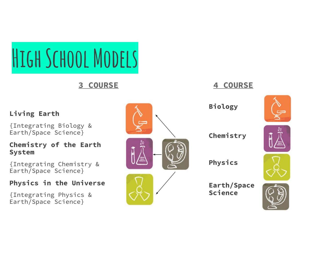HIGH SCHOOL MODELS

3 COURSE

#### Living Earth

{Integrating Biology & Earth/Space Science}

#### Chemistry of the Earth System

{Integrating Chemistry & Earth/Space Science}

#### Physics in the Universe

{Integrating Physics & Earth/Space Science}



4 COURSE

Chemistry





Earth/Space Science

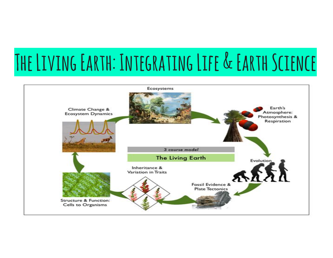### The Living Earth: Integrating Life & Earth Science

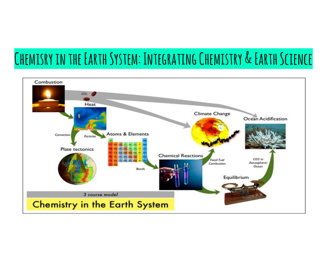### Chemisry in the Earth System: Integrating Chemistry & Earth Science

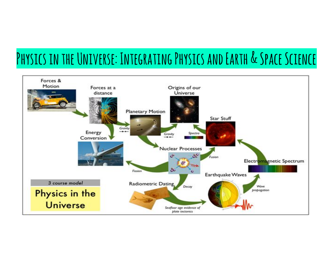### PHYSICS IN THE UNIVERSE: INTEGRATING PHYSICS AND EARTH & SPACE SCIENCE

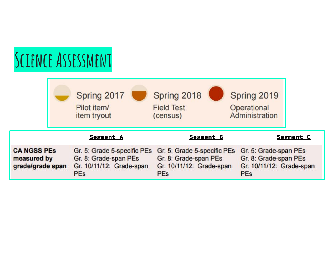